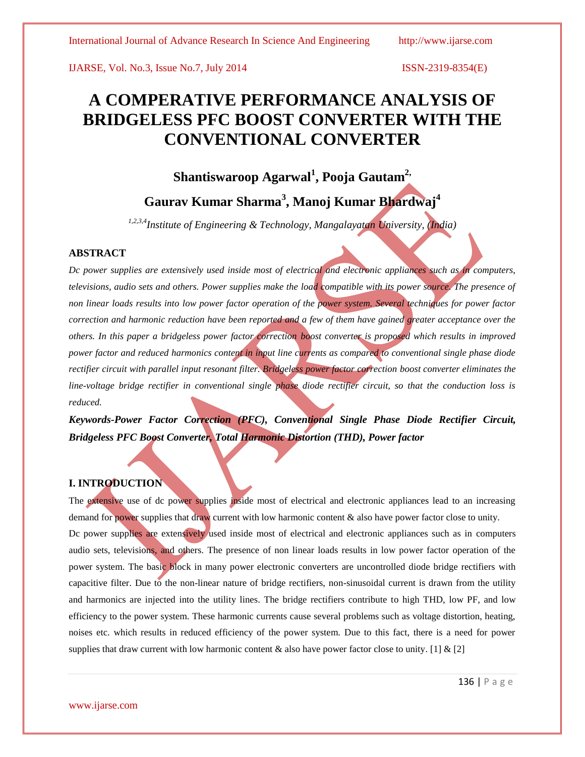# **A COMPERATIVE PERFORMANCE ANALYSIS OF BRIDGELESS PFC BOOST CONVERTER WITH THE CONVENTIONAL CONVERTER**

**Shantiswaroop Agarwal<sup>1</sup> , Pooja Gautam2,**

# **Gaurav Kumar Sharma<sup>3</sup> , Manoj Kumar Bhardwaj<sup>4</sup>**

*1,2,3,4Institute of Engineering & Technology, Mangalayatan University, (India)*

# **ABSTRACT**

*Dc power supplies are extensively used inside most of electrical and electronic appliances such as in computers, televisions, audio sets and others. Power supplies make the load compatible with its power source. The presence of non linear loads results into low power factor operation of the power system. Several techniques for power factor correction and harmonic reduction have been reported and a few of them have gained greater acceptance over the others. In this paper a bridgeless power factor correction boost converter is proposed which results in improved power factor and reduced harmonics content in input line currents as compared to conventional single phase diode rectifier circuit with parallel input resonant filter. Bridgeless power factor correction boost converter eliminates the line-voltage bridge rectifier in conventional single phase diode rectifier circuit, so that the conduction loss is reduced.* 

*Keywords***-***Power Factor Correction (PFC), Conventional Single Phase Diode Rectifier Circuit, Bridgeless PFC Boost Converter, Total Harmonic Distortion (THD), Power factor*

## **I. INTRODUCTION**

The extensive use of dc power supplies inside most of electrical and electronic appliances lead to an increasing demand for power supplies that draw current with low harmonic content  $\&$  also have power factor close to unity. Dc power supplies are extensively used inside most of electrical and electronic appliances such as in computers audio sets, televisions, and others. The presence of non linear loads results in low power factor operation of the power system. The basic block in many power electronic converters are uncontrolled diode bridge rectifiers with capacitive filter. Due to the non-linear nature of bridge rectifiers, non-sinusoidal current is drawn from the utility and harmonics are injected into the utility lines. The bridge rectifiers contribute to high THD, low PF, and low efficiency to the power system. These harmonic currents cause several problems such as voltage distortion, heating, noises etc. which results in reduced efficiency of the power system. Due to this fact, there is a need for power supplies that draw current with low harmonic content  $\&$  also have power factor close to unity. [1]  $\&$  [2]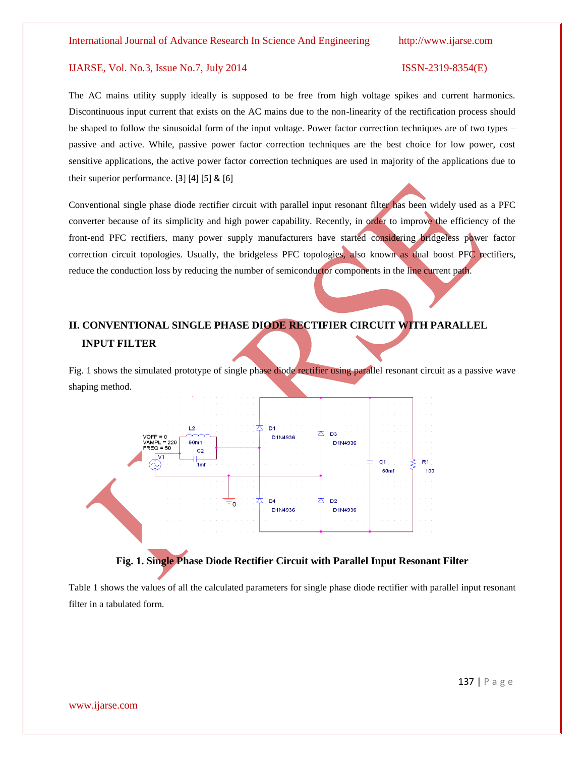# The AC mains utility supply ideally is supposed to be free from high voltage spikes and current harmonics. Discontinuous input current that exists on the AC mains due to the non-linearity of the rectification process should be shaped to follow the sinusoidal form of the input voltage. Power factor correction techniques are of two types – passive and active. While, passive power factor correction techniques are the best choice for low power, cost sensitive applications, the active power factor correction techniques are used in majority of the applications due to their superior performance. [3] [4] [5] & [6]

Conventional single phase diode rectifier circuit with parallel input resonant filter has been widely used as a PFC converter because of its simplicity and high power capability. Recently, in order to improve the efficiency of the front-end PFC rectifiers, many power supply manufacturers have started considering bridgeless power factor correction circuit topologies. Usually, the bridgeless PFC topologies, also known as dual boost PFC rectifiers, reduce the conduction loss by reducing the number of semiconductor components in the line current path.

# **II. CONVENTIONAL SINGLE PHASE DIODE RECTIFIER CIRCUIT WITH PARALLEL INPUT FILTER**

Fig. 1 shows the simulated prototype of single phase diode rectifier using parallel resonant circuit as a passive wave shaping method.





Table 1 shows the values of all the calculated parameters for single phase diode rectifier with parallel input resonant filter in a tabulated form.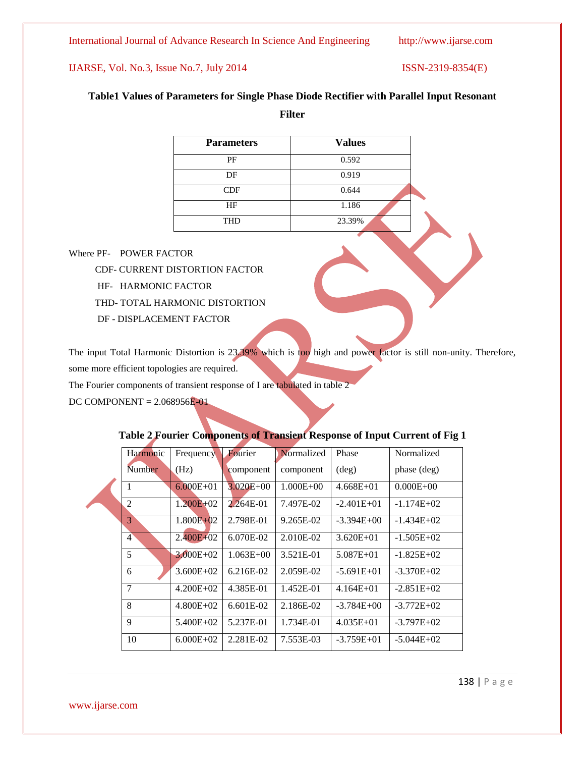International Journal of Advance Research In Science And Engineering http://www.ijarse.com

# IJARSE, Vol. No.3, Issue No.7, July 2014 ISSN-2319-8354(E)

# **Table1 Values of Parameters for Single Phase Diode Rectifier with Parallel Input Resonant**

**Filter**

| <b>Parameters</b> | <b>Values</b> |
|-------------------|---------------|
| PF                | 0.592         |
| DF                | 0.919         |
| CDF               | 0.644         |
| HF                | 1.186         |
| <b>THD</b>        | 23.39%        |

Where PF- POWER FACTOR

CDF- CURRENT DISTORTION FACTOR

- HF- HARMONIC FACTOR
- THD- TOTAL HARMONIC DISTORTION
- DF DISPLACEMENT FACTOR

The input Total Harmonic Distortion is 23.39% which is too high and power factor is still non-unity. Therefore, some more efficient topologies are required.

The Fourier components of transient response of I are tabulated in table 2

DC COMPONENT = 2.068956E-01

| Harmonic       | Frequency     | Fourier       | Normalized    | Phase          | Normalized    |
|----------------|---------------|---------------|---------------|----------------|---------------|
| Number         | (Hz)          | component     | component     | $(\text{deg})$ | phase (deg)   |
|                | $6.000E + 01$ | $3.020E + 00$ | $1.000E + 00$ | $4.668E + 01$  | $0.000E + 00$ |
| $\overline{2}$ | $1.200E + 02$ | 2.264E-01     | 7.497E-02     | $-2.401E+01$   | $-1.174E+02$  |
| 3              | $1.800E + 02$ | 2.798E-01     | 9.265E-02     | $-3.394E+00$   | $-1.434E+02$  |
| $\overline{4}$ | $2.400E + 02$ | $6.070E-02$   | 2.010E-02     | $3.620E + 01$  | $-1.505E+02$  |
| 5              | $3.000E + 02$ | $1.063E + 00$ | 3.521E-01     | $5.087E + 01$  | $-1.825E+02$  |
| 6              | $3.600E + 02$ | $6.216E-02$   | 2.059E-02     | $-5.691E+01$   | $-3.370E+02$  |
| $\overline{7}$ | $4.200E + 02$ | 4.385E-01     | 1.452E-01     | $4.164E + 01$  | $-2.851E+02$  |
| 8              | $4.800E+02$   | $6.601E-02$   | 2.186E-02     | $-3.784E + 00$ | $-3.772E+02$  |
| $\mathbf Q$    | 5.400E+02     | 5.237E-01     | 1.734E-01     | $4.035E + 01$  | $-3.797E+02$  |
| 10             | $6.000E + 02$ | 2.281E-02     | 7.553E-03     | $-3.759E+01$   | $-5.044E+02$  |

# **Table 2 Fourier Components of Transient Response of Input Current of Fig 1**

138 | P a g e

www.ijarse.com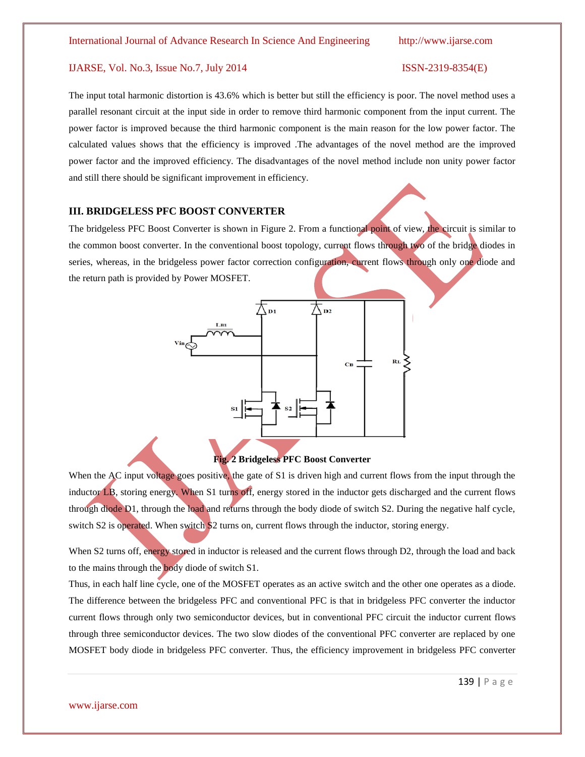# The input total harmonic distortion is 43.6% which is better but still the efficiency is poor. The novel method uses a parallel resonant circuit at the input side in order to remove third harmonic component from the input current. The power factor is improved because the third harmonic component is the main reason for the low power factor. The calculated values shows that the efficiency is improved .The advantages of the novel method are the improved power factor and the improved efficiency. The disadvantages of the novel method include non unity power factor and still there should be significant improvement in efficiency.

#### **III. BRIDGELESS PFC BOOST CONVERTER**

The bridgeless PFC Boost Converter is shown in Figure 2. From a functional point of view, the circuit is similar to the common boost converter. In the conventional boost topology, current flows through two of the bridge diodes in series, whereas, in the bridgeless power factor correction configuration, current flows through only one diode and the return path is provided by Power MOSFET.



#### **Fig. 2 Bridgeless PFC Boost Converter**

When the AC input voltage goes positive, the gate of S1 is driven high and current flows from the input through the inductor LB, storing energy. When S1 turns off, energy stored in the inductor gets discharged and the current flows through diode D1, through the load and returns through the body diode of switch S2. During the negative half cycle, switch S2 is operated. When switch S2 turns on, current flows through the inductor, storing energy.

When S2 turns off, energy stored in inductor is released and the current flows through D2, through the load and back to the mains through the body diode of switch S1.

Thus, in each half line cycle, one of the MOSFET operates as an active switch and the other one operates as a diode. The difference between the bridgeless PFC and conventional PFC is that in bridgeless PFC converter the inductor current flows through only two semiconductor devices, but in conventional PFC circuit the inductor current flows through three semiconductor devices. The two slow diodes of the conventional PFC converter are replaced by one MOSFET body diode in bridgeless PFC converter. Thus, the efficiency improvement in bridgeless PFC converter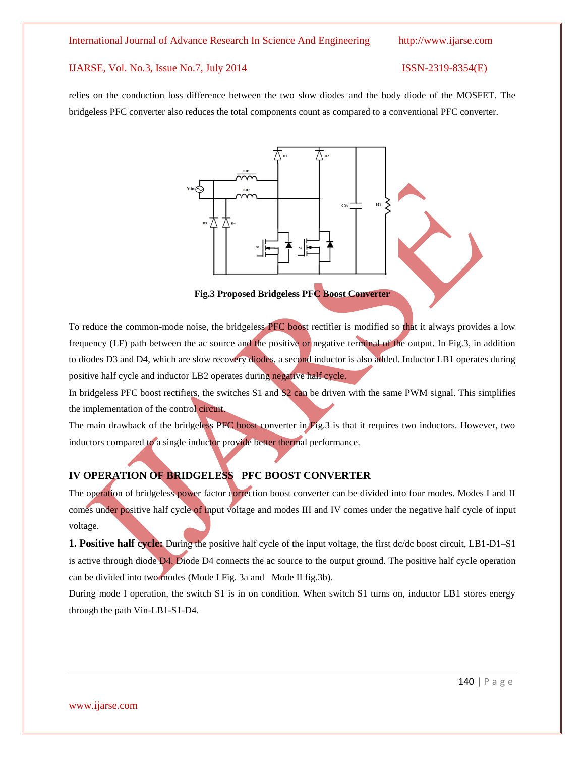relies on the conduction loss difference between the two slow diodes and the body diode of the MOSFET. The bridgeless PFC converter also reduces the total components count as compared to a conventional PFC converter.



**Fig.3 Proposed Bridgeless PFC Boost Converter**

To reduce the common-mode noise, the bridgeless PFC boost rectifier is modified so that it always provides a low frequency (LF) path between the ac source and the positive or negative terminal of the output. In Fig.3, in addition to diodes D3 and D4, which are slow recovery diodes, a second inductor is also added. Inductor LB1 operates during positive half cycle and inductor LB2 operates during negative half cycle.

In bridgeless PFC boost rectifiers, the switches S1 and S2 can be driven with the same PWM signal. This simplifies the implementation of the control circuit.

The main drawback of the bridgeless PFC boost converter in Fig.3 is that it requires two inductors. However, two inductors compared to a single inductor provide better thermal performance.

# **IV OPERATION OF BRIDGELESS PFC BOOST CONVERTER**

The operation of bridgeless power factor correction boost converter can be divided into four modes. Modes I and II comes under positive half cycle of input voltage and modes III and IV comes under the negative half cycle of input voltage.

**1. Positive half cycle:** During the positive half cycle of the input voltage, the first dc/dc boost circuit, LB1-D1-S1 is active through diode D4. Diode D4 connects the ac source to the output ground. The positive half cycle operation can be divided into two modes (Mode I Fig. 3a and Mode II fig.3b).

During mode I operation, the switch S1 is in on condition. When switch S1 turns on, inductor LB1 stores energy through the path Vin-LB1-S1-D4.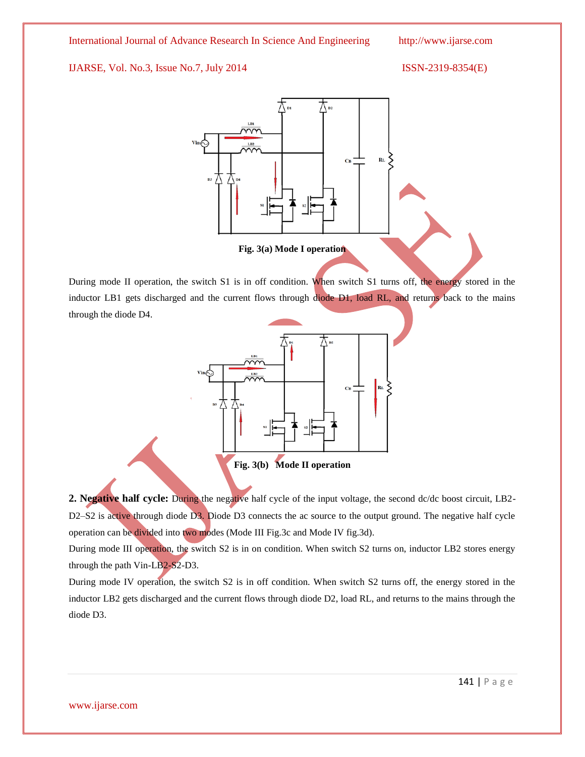

During mode II operation, the switch S1 is in off condition. When switch S1 turns off, the energy stored in the inductor LB1 gets discharged and the current flows through diode D1, load RL, and returns back to the mains through the diode D4.



**Fig. 3(b) Mode II operation**

**2. Negative half cycle:** During the negative half cycle of the input voltage, the second dc/dc boost circuit, LB2- D2–S2 is active through diode D3. Diode D3 connects the ac source to the output ground. The negative half cycle operation can be divided into two modes (Mode III Fig.3c and Mode IV fig.3d).

During mode III operation, the switch S2 is in on condition. When switch S2 turns on, inductor LB2 stores energy through the path Vin-LB2-S2-D3.

During mode IV operation, the switch S2 is in off condition. When switch S2 turns off, the energy stored in the inductor LB2 gets discharged and the current flows through diode D2, load RL, and returns to the mains through the diode D3.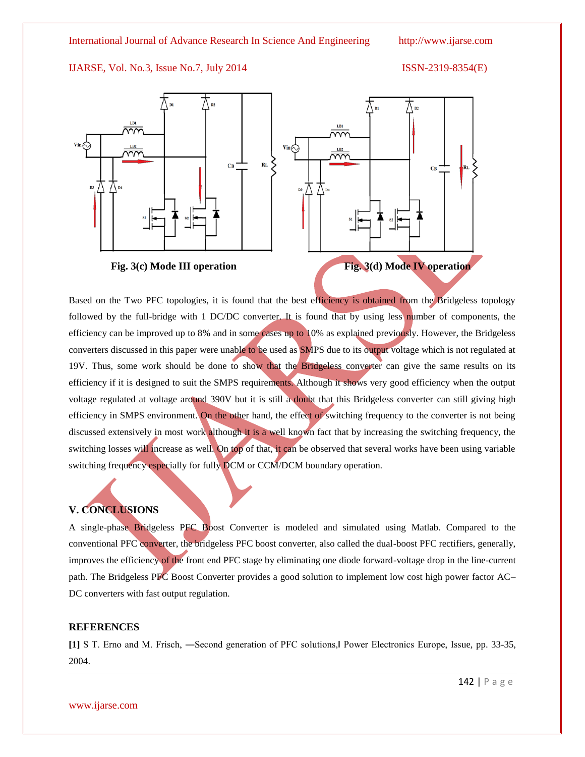



Based on the Two PFC topologies, it is found that the best efficiency is obtained from the Bridgeless topology followed by the full-bridge with 1 DC/DC converter. It is found that by using less number of components, the efficiency can be improved up to 8% and in some cases up to 10% as explained previously. However, the Bridgeless converters discussed in this paper were unable to be used as SMPS due to its output voltage which is not regulated at 19V. Thus, some work should be done to show that the Bridgeless converter can give the same results on its efficiency if it is designed to suit the SMPS requirements. Although it shows very good efficiency when the output voltage regulated at voltage around 390V but it is still a doubt that this Bridgeless converter can still giving high efficiency in SMPS environment. On the other hand, the effect of switching frequency to the converter is not being discussed extensively in most work although it is a well known fact that by increasing the switching frequency, the switching losses will increase as well. On top of that, it can be observed that several works have been using variable switching frequency especially for fully DCM or CCM/DCM boundary operation.

# **V. CONCLUSIONS**

A single-phase Bridgeless PFC Boost Converter is modeled and simulated using Matlab. Compared to the conventional PFC converter, the bridgeless PFC boost converter, also called the dual-boost PFC rectifiers, generally, improves the efficiency of the front end PFC stage by eliminating one diode forward-voltage drop in the line-current path. The Bridgeless PFC Boost Converter provides a good solution to implement low cost high power factor AC– DC converters with fast output regulation.

# **REFERENCES**

**[1]** S T. Erno and M. Frisch, ―Second generation of PFC solutions,‖ Power Electronics Europe, Issue, pp. 33-35, 2004.

142 | P a g e

www.ijarse.com